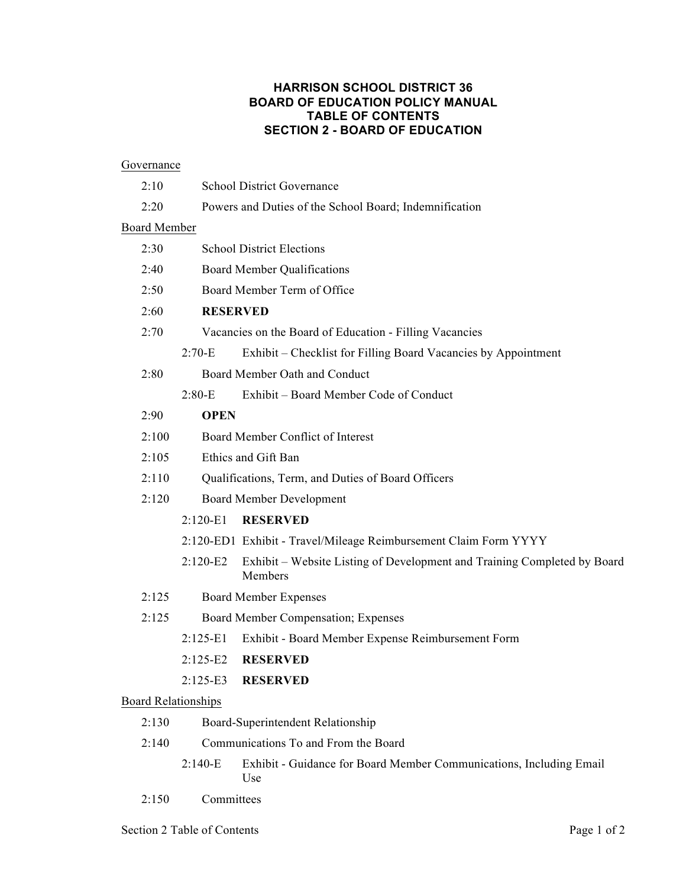# **HARRISON SCHOOL DISTRICT 36 BOARD OF EDUCATION POLICY MANUAL TABLE OF CONTENTS SECTION 2 - BOARD OF EDUCATION**

#### **Governance**

|                            | 2:10                                          | <b>School District Governance</b>                       |                                                                                     |  |
|----------------------------|-----------------------------------------------|---------------------------------------------------------|-------------------------------------------------------------------------------------|--|
|                            | 2:20                                          | Powers and Duties of the School Board; Indemnification  |                                                                                     |  |
| <b>Board Member</b>        |                                               |                                                         |                                                                                     |  |
|                            | 2:30                                          | <b>School District Elections</b>                        |                                                                                     |  |
|                            | 2:40                                          | <b>Board Member Qualifications</b>                      |                                                                                     |  |
|                            | 2:50                                          | Board Member Term of Office                             |                                                                                     |  |
|                            | 2:60                                          | <b>RESERVED</b>                                         |                                                                                     |  |
|                            | 2:70                                          | Vacancies on the Board of Education - Filling Vacancies |                                                                                     |  |
|                            |                                               | $2:70-E$                                                | Exhibit – Checklist for Filling Board Vacancies by Appointment                      |  |
|                            | 2:80                                          |                                                         | Board Member Oath and Conduct                                                       |  |
|                            |                                               | $2:80-E$                                                | Exhibit - Board Member Code of Conduct                                              |  |
| 2:90<br><b>OPEN</b>        |                                               |                                                         |                                                                                     |  |
|                            | Board Member Conflict of Interest<br>2:100    |                                                         |                                                                                     |  |
|                            | 2:105<br>Ethics and Gift Ban                  |                                                         |                                                                                     |  |
|                            | 2:110                                         |                                                         | Qualifications, Term, and Duties of Board Officers                                  |  |
|                            | 2:120                                         |                                                         | <b>Board Member Development</b>                                                     |  |
|                            |                                               | $2:120-E1$                                              | <b>RESERVED</b>                                                                     |  |
|                            |                                               |                                                         | 2:120-ED1 Exhibit - Travel/Mileage Reimbursement Claim Form YYYY                    |  |
|                            |                                               | $2:120-E2$                                              | Exhibit – Website Listing of Development and Training Completed by Board<br>Members |  |
|                            | 2:125<br><b>Board Member Expenses</b>         |                                                         |                                                                                     |  |
|                            | 2:125<br>Board Member Compensation; Expenses  |                                                         |                                                                                     |  |
|                            |                                               | $2:125-E1$                                              | Exhibit - Board Member Expense Reimbursement Form                                   |  |
|                            |                                               | $2:125-E2$                                              | <b>RESERVED</b>                                                                     |  |
|                            |                                               |                                                         | 2:125-E3 RESERVED                                                                   |  |
| <b>Board Relationships</b> |                                               |                                                         |                                                                                     |  |
|                            | 2:130<br>Board-Superintendent Relationship    |                                                         |                                                                                     |  |
|                            | 2:140<br>Communications To and From the Board |                                                         |                                                                                     |  |
|                            |                                               | $2:140-E$                                               | Exhibit - Guidance for Board Member Communications, Including Email                 |  |

2:150 Committees

Use